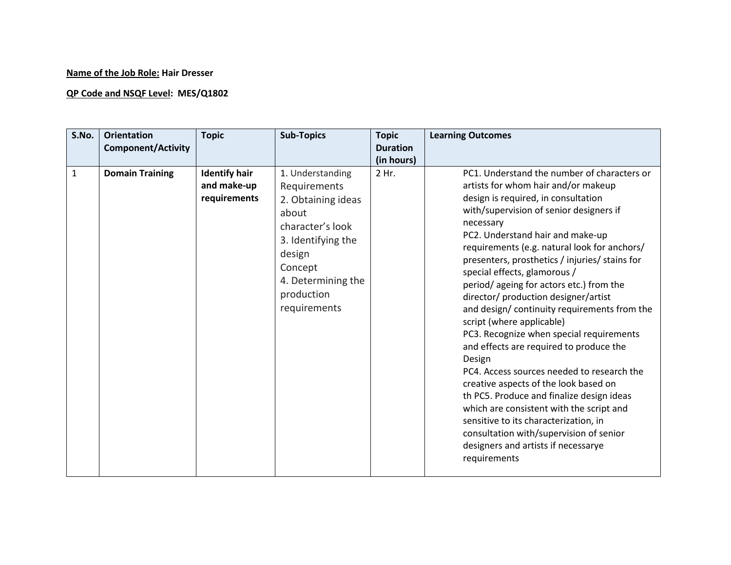## **Name of the Job Role: Hair Dresser**

## **QP Code and NSQF Level: MES/Q1802**

| S.No.        | <b>Orientation</b><br><b>Component/Activity</b> | <b>Topic</b>                                        | <b>Sub-Topics</b>                                                                                                                                                                  | <b>Topic</b><br><b>Duration</b><br>(in hours) | <b>Learning Outcomes</b>                                                                                                                                                                                                                                                                                                                                                                                                                                                                                                                                                                                                                                                                                                                                                                                                                                                                                                                           |
|--------------|-------------------------------------------------|-----------------------------------------------------|------------------------------------------------------------------------------------------------------------------------------------------------------------------------------------|-----------------------------------------------|----------------------------------------------------------------------------------------------------------------------------------------------------------------------------------------------------------------------------------------------------------------------------------------------------------------------------------------------------------------------------------------------------------------------------------------------------------------------------------------------------------------------------------------------------------------------------------------------------------------------------------------------------------------------------------------------------------------------------------------------------------------------------------------------------------------------------------------------------------------------------------------------------------------------------------------------------|
| $\mathbf{1}$ | <b>Domain Training</b>                          | <b>Identify hair</b><br>and make-up<br>requirements | 1. Understanding<br>Requirements<br>2. Obtaining ideas<br>about<br>character's look<br>3. Identifying the<br>design<br>Concept<br>4. Determining the<br>production<br>requirements | 2 Hr.                                         | PC1. Understand the number of characters or<br>artists for whom hair and/or makeup<br>design is required, in consultation<br>with/supervision of senior designers if<br>necessary<br>PC2. Understand hair and make-up<br>requirements (e.g. natural look for anchors/<br>presenters, prosthetics / injuries/ stains for<br>special effects, glamorous /<br>period/ageing for actors etc.) from the<br>director/ production designer/artist<br>and design/continuity requirements from the<br>script (where applicable)<br>PC3. Recognize when special requirements<br>and effects are required to produce the<br>Design<br>PC4. Access sources needed to research the<br>creative aspects of the look based on<br>th PC5. Produce and finalize design ideas<br>which are consistent with the script and<br>sensitive to its characterization, in<br>consultation with/supervision of senior<br>designers and artists if necessarye<br>requirements |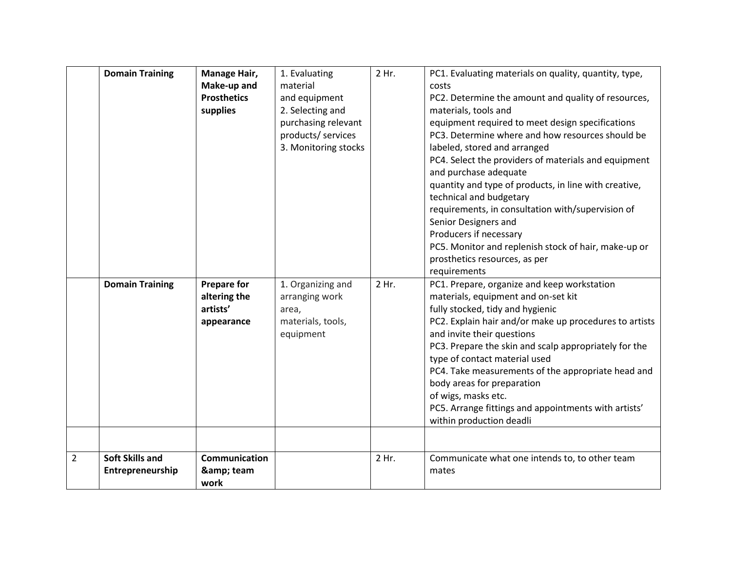|                | <b>Domain Training</b><br><b>Domain Training</b> | Manage Hair,<br>Make-up and<br><b>Prosthetics</b><br>supplies<br><b>Prepare for</b><br>altering the<br>artists'<br>appearance | 1. Evaluating<br>material<br>and equipment<br>2. Selecting and<br>purchasing relevant<br>products/ services<br>3. Monitoring stocks<br>1. Organizing and<br>arranging work<br>area,<br>materials, tools,<br>equipment | 2 Hr.<br>2 Hr. | PC1. Evaluating materials on quality, quantity, type,<br>costs<br>PC2. Determine the amount and quality of resources,<br>materials, tools and<br>equipment required to meet design specifications<br>PC3. Determine where and how resources should be<br>labeled, stored and arranged<br>PC4. Select the providers of materials and equipment<br>and purchase adequate<br>quantity and type of products, in line with creative,<br>technical and budgetary<br>requirements, in consultation with/supervision of<br>Senior Designers and<br>Producers if necessary<br>PC5. Monitor and replenish stock of hair, make-up or<br>prosthetics resources, as per<br>requirements<br>PC1. Prepare, organize and keep workstation<br>materials, equipment and on-set kit<br>fully stocked, tidy and hygienic<br>PC2. Explain hair and/or make up procedures to artists<br>and invite their questions<br>PC3. Prepare the skin and scalp appropriately for the<br>type of contact material used<br>PC4. Take measurements of the appropriate head and<br>body areas for preparation<br>of wigs, masks etc. |
|----------------|--------------------------------------------------|-------------------------------------------------------------------------------------------------------------------------------|-----------------------------------------------------------------------------------------------------------------------------------------------------------------------------------------------------------------------|----------------|---------------------------------------------------------------------------------------------------------------------------------------------------------------------------------------------------------------------------------------------------------------------------------------------------------------------------------------------------------------------------------------------------------------------------------------------------------------------------------------------------------------------------------------------------------------------------------------------------------------------------------------------------------------------------------------------------------------------------------------------------------------------------------------------------------------------------------------------------------------------------------------------------------------------------------------------------------------------------------------------------------------------------------------------------------------------------------------------------|
|                |                                                  |                                                                                                                               |                                                                                                                                                                                                                       |                | PC5. Arrange fittings and appointments with artists'<br>within production deadli                                                                                                                                                                                                                                                                                                                                                                                                                                                                                                                                                                                                                                                                                                                                                                                                                                                                                                                                                                                                                  |
| $\overline{2}$ | <b>Soft Skills and</b>                           | <b>Communication</b>                                                                                                          |                                                                                                                                                                                                                       | 2 Hr.          | Communicate what one intends to, to other team                                                                                                                                                                                                                                                                                                                                                                                                                                                                                                                                                                                                                                                                                                                                                                                                                                                                                                                                                                                                                                                    |
|                | Entrepreneurship                                 | & team<br>work                                                                                                                |                                                                                                                                                                                                                       |                | mates                                                                                                                                                                                                                                                                                                                                                                                                                                                                                                                                                                                                                                                                                                                                                                                                                                                                                                                                                                                                                                                                                             |